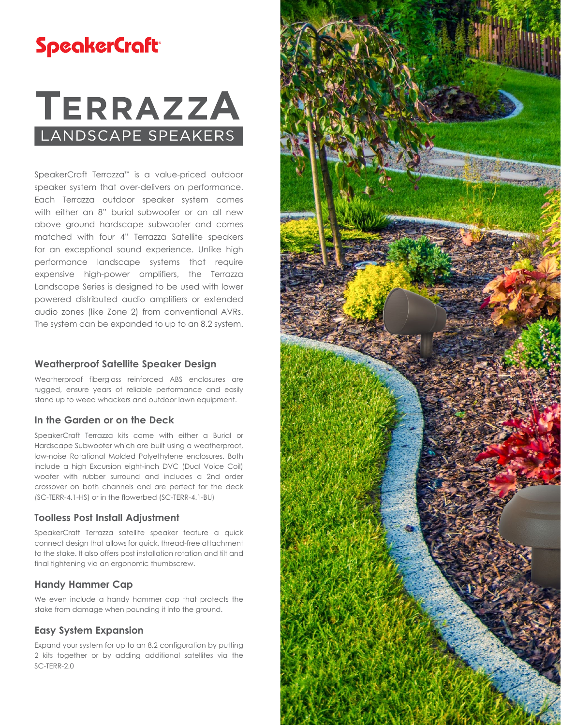## **SpeakerCraft**

# **TERRAZZA** LANDSCAPE SPEAKERS

SpeakerCraft Terrazza™ is a value-priced outdoor speaker system that over-delivers on performance. Each Terrazza outdoor speaker system comes with either an 8" burial subwoofer or an all new above ground hardscape subwoofer and comes matched with four 4" Terrazza Satellite speakers for an exceptional sound experience. Unlike high performance landscape systems that require expensive high-power amplifiers, the Terrazza Landscape Series is designed to be used with lower powered distributed audio amplifiers or extended audio zones (like Zone 2) from conventional AVRs. The system can be expanded to up to an 8.2 system.

#### **Weatherproof Satellite Speaker Design**

Weatherproof fiberglass reinforced ABS enclosures are rugged, ensure years of reliable performance and easily stand up to weed whackers and outdoor lawn equipment.

#### **In the Garden or on the Deck**

SpeakerCraft Terrazza kits come with either a Burial or Hardscape Subwoofer which are built using a weatherproof, low-noise Rotational Molded Polyethylene enclosures. Both include a high Excursion eight-inch DVC (Dual Voice Coil) woofer with rubber surround and includes a 2nd order crossover on both channels and are perfect for the deck (SC-TERR-4.1-HS) or in the flowerbed (SC-TERR-4.1-BU)

#### **Toolless Post Install Adjustment**

SpeakerCraft Terrazza satellite speaker feature a quick connect design that allows for quick, thread-free attachment to the stake. It also offers post installation rotation and tilt and final tightening via an ergonomic thumbscrew.

#### **Handy Hammer Cap**

We even include a handy hammer cap that protects the stake from damage when pounding it into the ground.

#### **Easy System Expansion**

Expand your system for up to an 8.2 configuration by putting 2 kits together or by adding additional satellites via the SC-TERR-2.0